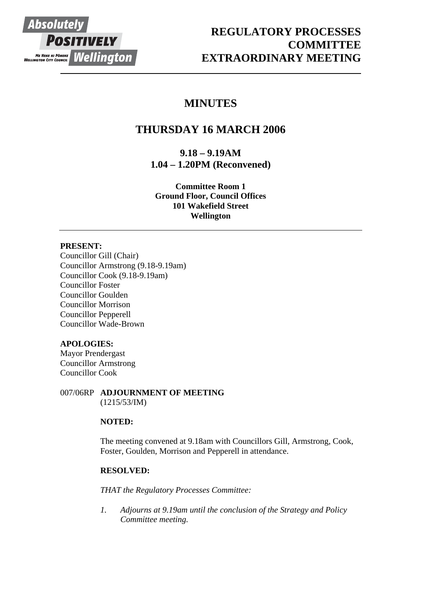

# **REGULATORY PROCESSES COMMITTEE EXTRAORDINARY MEETING**

# **MINUTES**

# **THURSDAY 16 MARCH 2006**

**9.18 – 9.19AM 1.04 – 1.20PM (Reconvened)** 

**Committee Room 1 Ground Floor, Council Offices 101 Wakefield Street Wellington**

## **PRESENT:**

Councillor Gill (Chair) Councillor Armstrong (9.18-9.19am) Councillor Cook (9.18-9.19am) Councillor Foster Councillor Goulden Councillor Morrison Councillor Pepperell Councillor Wade-Brown

## **APOLOGIES:**

Mayor Prendergast Councillor Armstrong Councillor Cook

007/06RP **ADJOURNMENT OF MEETING** (1215/53/IM)

## **NOTED:**

The meeting convened at 9.18am with Councillors Gill, Armstrong, Cook, Foster, Goulden, Morrison and Pepperell in attendance.

## **RESOLVED:**

*THAT the Regulatory Processes Committee:* 

*1. Adjourns at 9.19am until the conclusion of the Strategy and Policy Committee meeting.*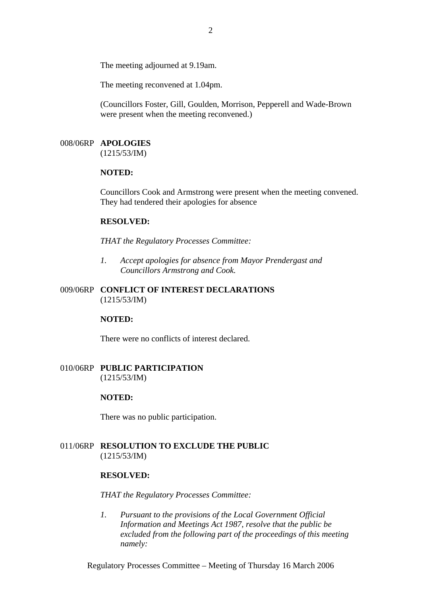The meeting adjourned at 9.19am.

The meeting reconvened at 1.04pm.

(Councillors Foster, Gill, Goulden, Morrison, Pepperell and Wade-Brown were present when the meeting reconvened.)

### 008/06RP **APOLOGIES**

(1215/53/IM)

#### **NOTED:**

Councillors Cook and Armstrong were present when the meeting convened. They had tendered their apologies for absence

#### **RESOLVED:**

*THAT the Regulatory Processes Committee:* 

*1. Accept apologies for absence from Mayor Prendergast and Councillors Armstrong and Cook.*

### 009/06RP **CONFLICT OF INTEREST DECLARATIONS**  (1215/53/IM)

#### **NOTED:**

There were no conflicts of interest declared.

010/06RP **PUBLIC PARTICIPATION**  (1215/53/IM)

#### **NOTED:**

There was no public participation.

011/06RP **RESOLUTION TO EXCLUDE THE PUBLIC**  (1215/53/IM)

#### **RESOLVED:**

*THAT the Regulatory Processes Committee:* 

*1. Pursuant to the provisions of the Local Government Official Information and Meetings Act 1987, resolve that the public be excluded from the following part of the proceedings of this meeting namely:* 

Regulatory Processes Committee – Meeting of Thursday 16 March 2006